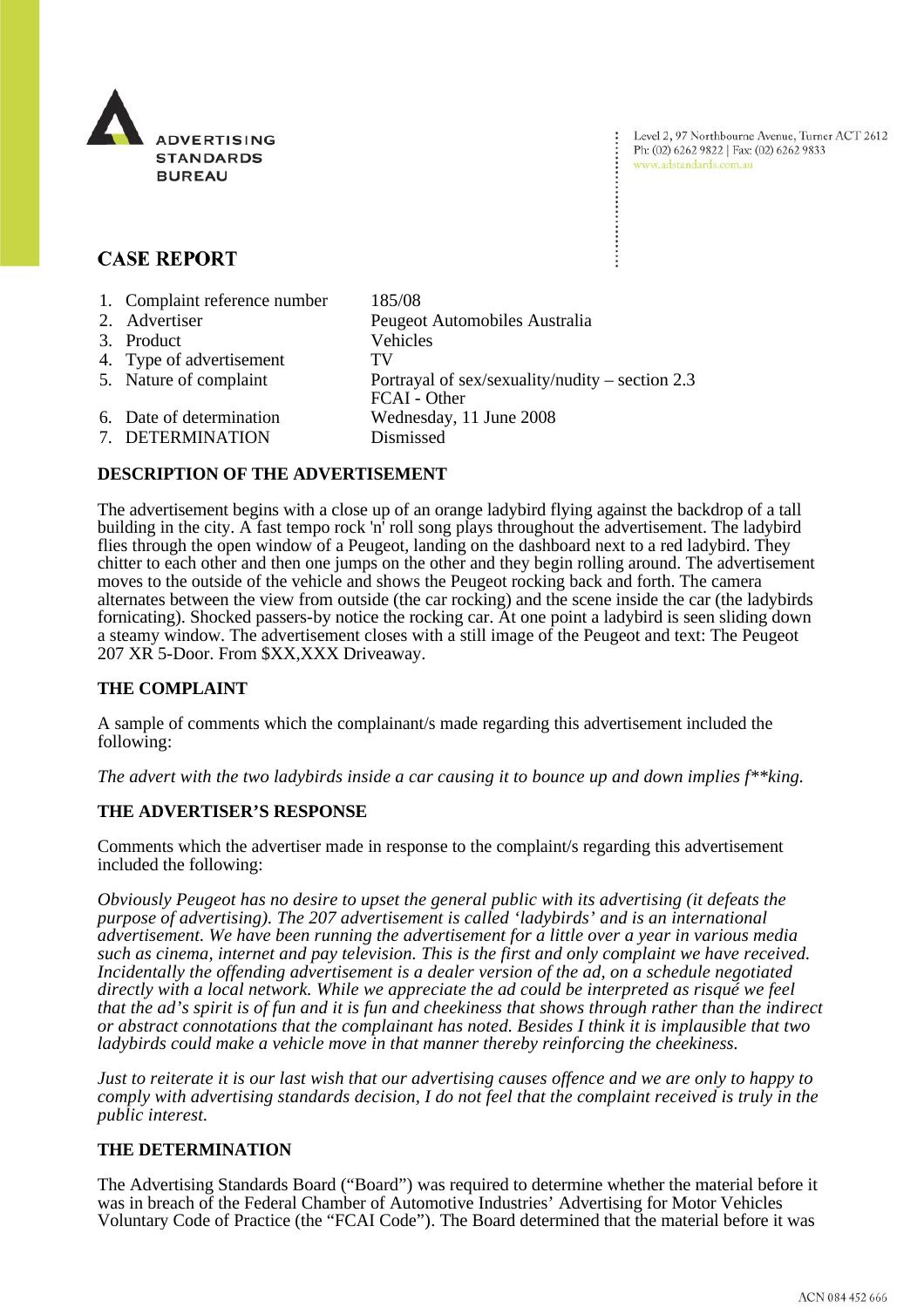

Level 2, 97 Northbourne Avenue, Turner ACT 2612 Ph: (02) 6262 9822 | Fax: (02) 6262 9833 www.adstandards.com.au

# **CASE REPORT**

| 1. Complaint reference number | 185/08                                                            |
|-------------------------------|-------------------------------------------------------------------|
| 2. Advertiser                 | Peugeot Automobiles Australia                                     |
| 3. Product                    | Vehicles                                                          |
| 4. Type of advertisement      | TV                                                                |
| 5. Nature of complaint        | Portrayal of sex/sexuality/nudity – section $2.3$<br>FCAI - Other |
| 6. Date of determination      | Wednesday, 11 June 2008                                           |
| 7. DETERMINATION              | Dismissed                                                         |

## **DESCRIPTION OF THE ADVERTISEMENT**

The advertisement begins with a close up of an orange ladybird flying against the backdrop of a tall building in the city. A fast tempo rock 'n' roll song plays throughout the advertisement. The ladybird flies through the open window of a Peugeot, landing on the dashboard next to a red ladybird. They chitter to each other and then one jumps on the other and they begin rolling around. The advertisement moves to the outside of the vehicle and shows the Peugeot rocking back and forth. The camera alternates between the view from outside (the car rocking) and the scene inside the car (the ladybirds fornicating). Shocked passers-by notice the rocking car. At one point a ladybird is seen sliding down a steamy window. The advertisement closes with a still image of the Peugeot and text: The Peugeot 207 XR 5-Door. From \$XX,XXX Driveaway.

## **THE COMPLAINT**

A sample of comments which the complainant/s made regarding this advertisement included the following:

*The advert with the two ladybirds inside a car causing it to bounce up and down implies f\*\*king.*

#### **THE ADVERTISER'S RESPONSE**

Comments which the advertiser made in response to the complaint/s regarding this advertisement included the following:

*Obviously Peugeot has no desire to upset the general public with its advertising (it defeats the purpose of advertising). The 207 advertisement is called 'ladybirds' and is an international advertisement. We have been running the advertisement for a little over a year in various media such as cinema, internet and pay television. This is the first and only complaint we have received. Incidentally the offending advertisement is a dealer version of the ad, on a schedule negotiated directly with a local network. While we appreciate the ad could be interpreted as risqué we feel that the ad's spirit is of fun and it is fun and cheekiness that shows through rather than the indirect or abstract connotations that the complainant has noted. Besides I think it is implausible that two ladybirds could make a vehicle move in that manner thereby reinforcing the cheekiness.* 

*Just to reiterate it is our last wish that our advertising causes offence and we are only to happy to comply with advertising standards decision, I do not feel that the complaint received is truly in the public interest.* 

### **THE DETERMINATION**

The Advertising Standards Board ("Board") was required to determine whether the material before it was in breach of the Federal Chamber of Automotive Industries' Advertising for Motor Vehicles Voluntary Code of Practice (the "FCAI Code"). The Board determined that the material before it was